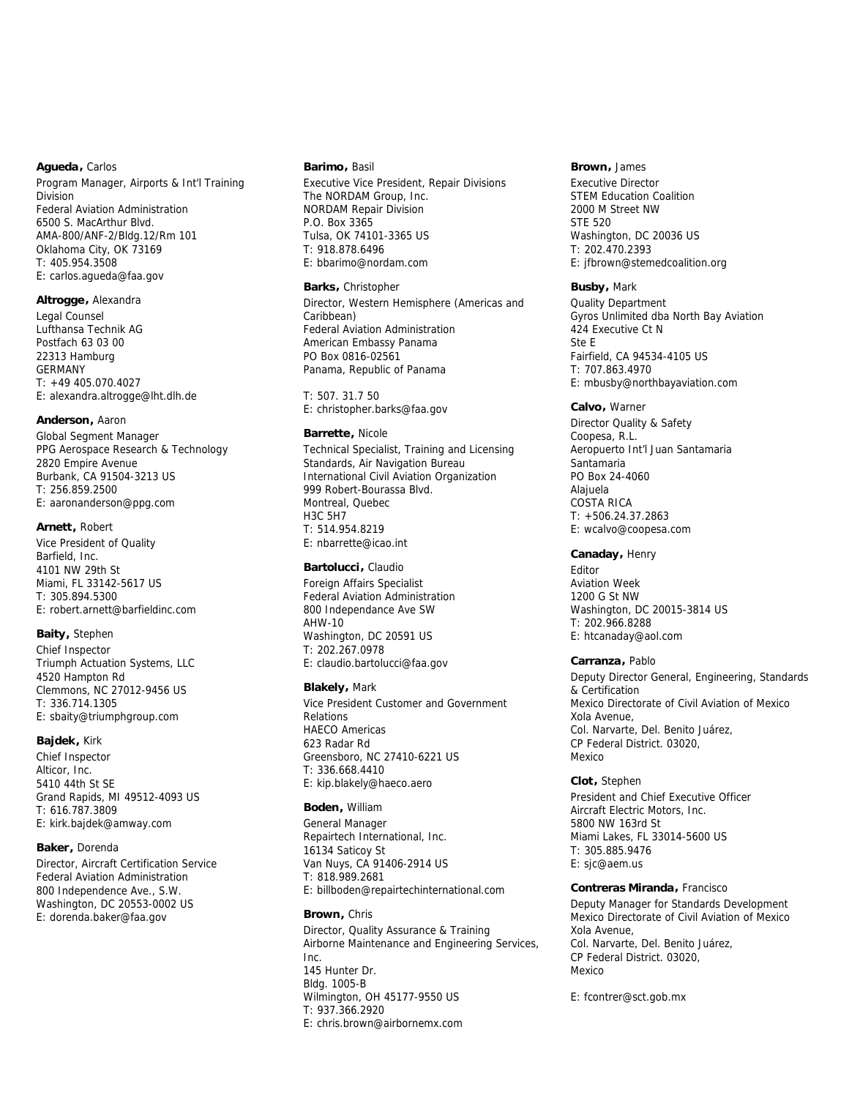# **Agueda,** Carlos

Program Manager, Airports & Int'l Training Division Federal Aviation Administration 6500 S. MacArthur Blvd. AMA-800/ANF-2/Bldg.12/Rm 101 Oklahoma City, OK 73169 T: 405.954.3508 E: carlos.agueda@faa.gov

## **Altrogge,** Alexandra

Legal Counsel Lufthansa Technik AG Postfach 63 03 00 22313 Hamburg GERMANY T: +49 405.070.4027 E: alexandra.altrogge@lht.dlh.de

#### **Anderson,** Aaron

Global Segment Manager PPG Aerospace Research & Technology 2820 Empire Avenue Burbank, CA 91504-3213 US T: 256.859.2500 E: aaronanderson@ppg.com

#### **Arnett,** Robert

Vice President of Quality Barfield, Inc. 4101 NW 29th St Miami, FL 33142-5617 US T: 305.894.5300 E: robert.arnett@barfieldinc.com

# **Baity,** Stephen

Chief Inspector Triumph Actuation Systems, LLC 4520 Hampton Rd Clemmons, NC 27012-9456 US T: 336.714.1305 E: sbaity@triumphgroup.com

# **Bajdek,** Kirk

Chief Inspector Alticor, Inc. 5410 44th St SE Grand Rapids, MI 49512-4093 US T: 616.787.3809 E: kirk.bajdek@amway.com

#### **Baker,** Dorenda

Director, Aircraft Certification Service Federal Aviation Administration 800 Independence Ave., S.W. Washington, DC 20553-0002 US E: dorenda.baker@faa.gov

#### **Barimo,** Basil

Executive Vice President, Repair Divisions The NORDAM Group, Inc. NORDAM Repair Division P.O. Box 3365 Tulsa, OK 74101-3365 US T: 918.878.6496 E: bbarimo@nordam.com

#### **Barks,** Christopher

Director, Western Hemisphere (Americas and Caribbean) Federal Aviation Administration American Embassy Panama PO Box 0816-02561 Panama, Republic of Panama

T: 507. 31.7 50 E: christopher.barks@faa.gov

# **Barrette,** Nicole

Technical Specialist, Training and Licensing Standards, Air Navigation Bureau International Civil Aviation Organization 999 Robert-Bourassa Blvd. Montreal, Quebec H3C 5H7 T: 514.954.8219 E: nbarrette@icao.int

### **Bartolucci,** Claudio

Foreign Affairs Specialist Federal Aviation Administration 800 Independance Ave SW AHW-10 Washington, DC 20591 US T: 202.267.0978 E: claudio.bartolucci@faa.gov

## **Blakely,** Mark

Vice President Customer and Government Relations HAECO Americas 623 Radar Rd Greensboro, NC 27410-6221 US T: 336.668.4410 E: kip.blakely@haeco.aero

# **Boden,** William

General Manager Repairtech International, Inc. 16134 Saticoy St Van Nuys, CA 91406-2914 US T: 818.989.2681 E: billboden@repairtechinternational.com

# **Brown,** Chris

Director, Quality Assurance & Training Airborne Maintenance and Engineering Services, Inc. 145 Hunter Dr. Bldg. 1005-B Wilmington, OH 45177-9550 US T: 937.366.2920 E: chris.brown@airbornemx.com

#### **Brown,** James

Executive Director STEM Education Coalition 2000 M Street NW STE 520 Washington, DC 20036 US T: 202.470.2393 E: jfbrown@stemedcoalition.org

#### **Busby,** Mark

Quality Department Gyros Unlimited dba North Bay Aviation 424 Executive Ct N Ste E Fairfield, CA 94534-4105 US T: 707.863.4970 E: mbusby@northbayaviation.com

## **Calvo,** Warner

Director Quality & Safety Coopesa, R.L. Aeropuerto Int'l Juan Santamaria Santamaria PO Box 24-4060 Alajuela COSTA RICA T: +506.24.37.2863 E: wcalvo@coopesa.com

# **Canaday,** Henry

Editor Aviation Week 1200 G St NW Washington, DC 20015-3814 US T: 202.966.8288 E: htcanaday@aol.com

# **Carranza,** Pablo

Deputy Director General, Engineering, Standards & Certification Mexico Directorate of Civil Aviation of Mexico Xola Avenue, Col. Narvarte, Del. Benito Juárez, CP Federal District. 03020, Mexico

## **Clot,** Stephen

President and Chief Executive Officer Aircraft Electric Motors, Inc. 5800 NW 163rd St Miami Lakes, FL 33014-5600 US T: 305.885.9476 E: sjc@aem.us

#### **Contreras Miranda,** Francisco

Deputy Manager for Standards Development Mexico Directorate of Civil Aviation of Mexico Xola Avenue, Col. Narvarte, Del. Benito Juárez, CP Federal District. 03020, Mexico

E: fcontrer@sct.gob.mx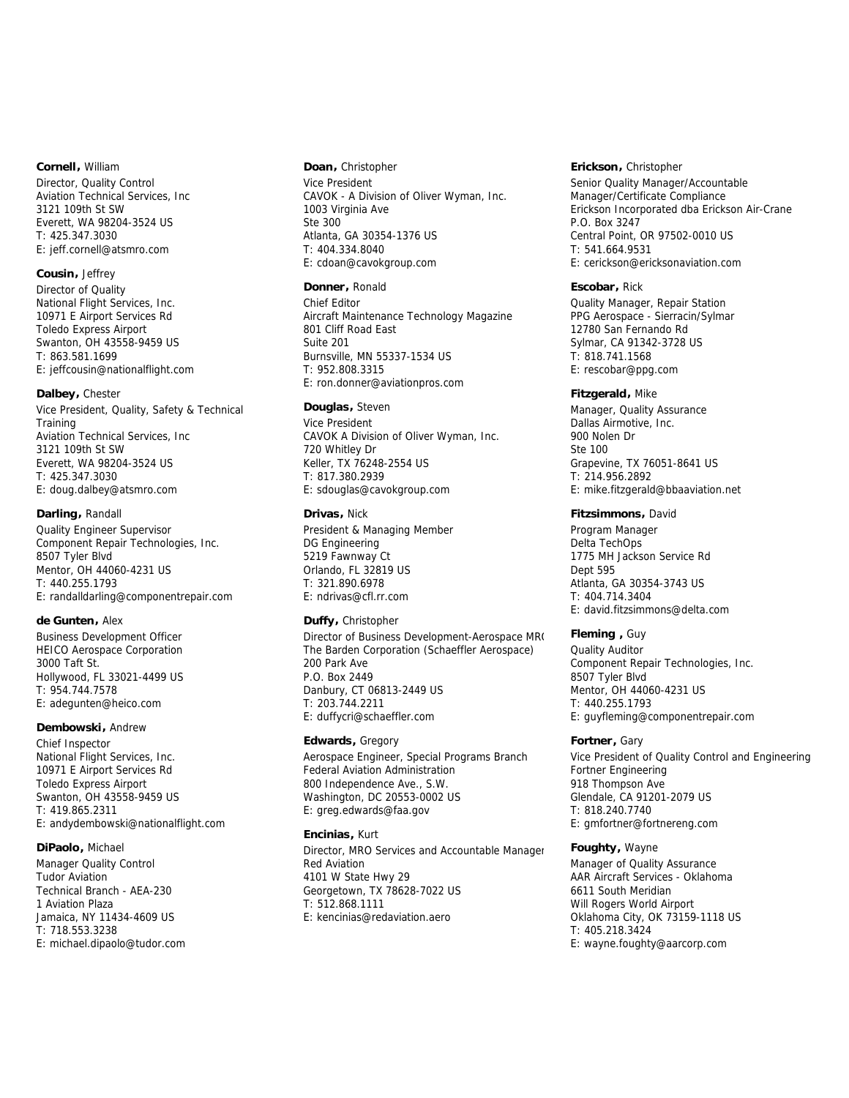# **Cornell,** William

Director, Quality Control Aviation Technical Services, Inc 3121 109th St SW Everett, WA 98204-3524 US T: 425.347.3030 E: jeff.cornell@atsmro.com

# **Cousin,** Jeffrey

Director of Quality National Flight Services, Inc. 10971 E Airport Services Rd Toledo Express Airport Swanton, OH 43558-9459 US T: 863.581.1699 E: jeffcousin@nationalflight.com

## **Dalbey,** Chester

Vice President, Quality, Safety & Technical **Training** Aviation Technical Services, Inc 3121 109th St SW Everett, WA 98204-3524 US T: 425.347.3030 E: doug.dalbey@atsmro.com

#### **Darling,** Randall

Quality Engineer Supervisor Component Repair Technologies, Inc. 8507 Tyler Blvd Mentor, OH 44060-4231 US T: 440.255.1793 E: randalldarling@componentrepair.com

### **de Gunten,** Alex

Business Development Officer HEICO Aerospace Corporation 3000 Taft St. Hollywood, FL 33021-4499 US T: 954.744.7578 E: adegunten@heico.com

## **Dembowski,** Andrew

Chief Inspector National Flight Services, Inc. 10971 E Airport Services Rd Toledo Express Airport Swanton, OH 43558-9459 US T: 419.865.2311 E: andydembowski@nationalflight.com

#### **DiPaolo,** Michael

Manager Quality Control Tudor Aviation Technical Branch - AEA-230 1 Aviation Plaza Jamaica, NY 11434-4609 US T: 718.553.3238 E: michael.dipaolo@tudor.com

#### **Doan,** Christopher

Vice President CAVOK - A Division of Oliver Wyman, Inc. 1003 Virginia Ave Ste 300 Atlanta, GA 30354-1376 US T: 404.334.8040 E: cdoan@cavokgroup.com

## **Donner,** Ronald

Chief Editor Aircraft Maintenance Technology Magazine 801 Cliff Road East Suite 201 Burnsville, MN 55337-1534 US T: 952.808.3315 E: ron.donner@aviationpros.com

#### **Douglas,** Steven

Vice President CAVOK A Division of Oliver Wyman, Inc. 720 Whitley Dr Keller, TX 76248-2554 US T: 817.380.2939 E: sdouglas@cavokgroup.com

#### **Drivas,** Nick

President & Managing Member DG Engineering 5219 Fawnway Ct Orlando, FL 32819 US T: 321.890.6978 E: ndrivas@cfl.rr.com

### **Duffy,** Christopher

Director of Business Development-Aerospace MRO The Barden Corporation (Schaeffler Aerospace) 200 Park Ave P.O. Box 2449 Danbury, CT 06813-2449 US T: 203.744.2211 E: duffycri@schaeffler.com

#### **Edwards,** Gregory

Aerospace Engineer, Special Programs Branch Federal Aviation Administration 800 Independence Ave., S.W. Washington, DC 20553-0002 US E: greg.edwards@faa.gov

# **Encinias,** Kurt

Director, MRO Services and Accountable Manager Red Aviation 4101 W State Hwy 29 Georgetown, TX 78628-7022 US T: 512.868.1111 E: kencinias@redaviation.aero

#### **Erickson,** Christopher

Senior Quality Manager/Accountable Manager/Certificate Compliance Erickson Incorporated dba Erickson Air-Crane P.O. Box 3247 Central Point, OR 97502-0010 US T: 541.664.9531 E: cerickson@ericksonaviation.com

# **Escobar,** Rick

Quality Manager, Repair Station PPG Aerospace - Sierracin/Sylmar 12780 San Fernando Rd Sylmar, CA 91342-3728 US T: 818.741.1568 E: rescobar@ppg.com

#### **Fitzgerald,** Mike

Manager, Quality Assurance Dallas Airmotive, Inc. 900 Nolen Dr Ste 100 Grapevine, TX 76051-8641 US T: 214.956.2892 E: mike.fitzgerald@bbaaviation.net

#### **Fitzsimmons,** David

Program Manager Delta TechOps 1775 MH Jackson Service Rd Dept 595 Atlanta, GA 30354-3743 US T: 404.714.3404 E: david.fitzsimmons@delta.com

# **Fleming ,** Guy

Quality Auditor Component Repair Technologies, Inc. 8507 Tyler Blvd Mentor, OH 44060-4231 US T: 440.255.1793 E: guyfleming@componentrepair.com

### **Fortner,** Gary

Vice President of Quality Control and Engineering Fortner Engineering 918 Thompson Ave Glendale, CA 91201-2079 US T: 818.240.7740 E: gmfortner@fortnereng.com

### **Foughty,** Wayne

Manager of Quality Assurance AAR Aircraft Services - Oklahoma 6611 South Meridian Will Rogers World Airport Oklahoma City, OK 73159-1118 US T: 405.218.3424 E: wayne.foughty@aarcorp.com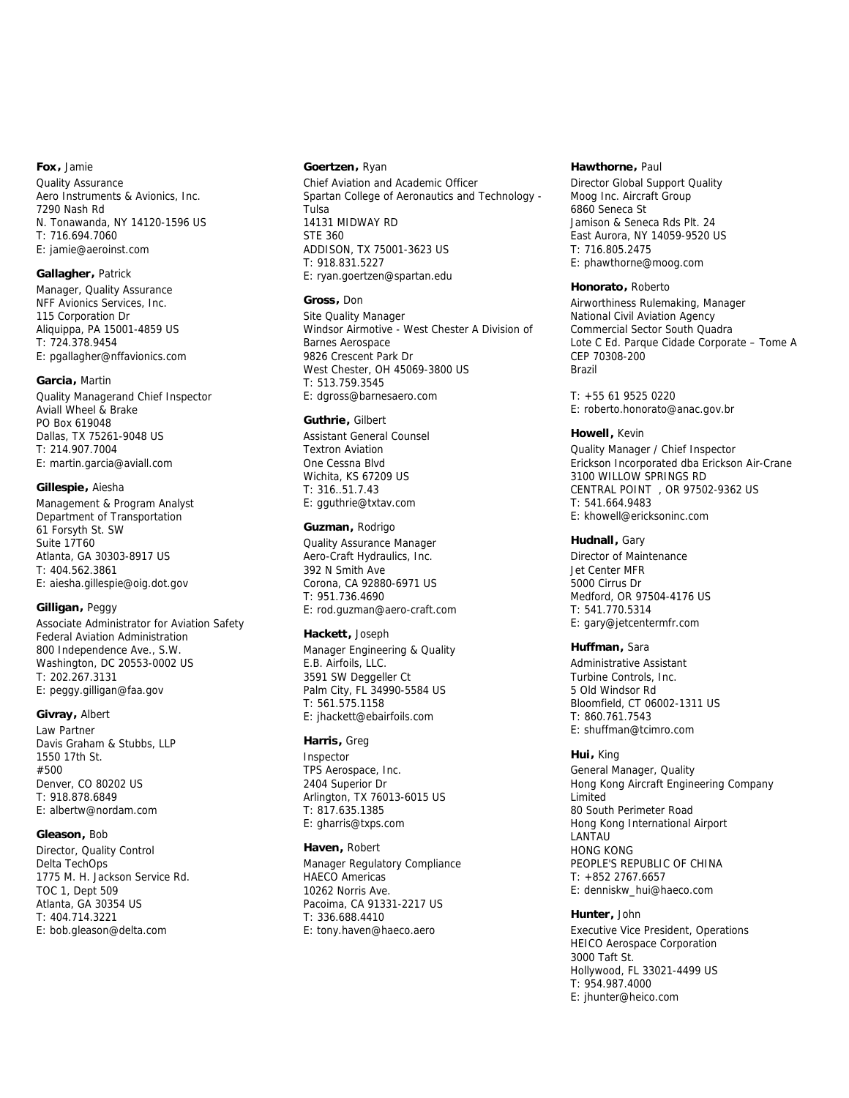#### **Fox,** Jamie

Quality Assurance Aero Instruments & Avionics, Inc. 7290 Nash Rd N. Tonawanda, NY 14120-1596 US T: 716.694.7060 E: jamie@aeroinst.com

## **Gallagher,** Patrick

Manager, Quality Assurance NFF Avionics Services, Inc. 115 Corporation Dr Aliquippa, PA 15001-4859 US T: 724.378.9454 E: pgallagher@nffavionics.com

## **Garcia,** Martin

Quality Managerand Chief Inspector Aviall Wheel & Brake PO Box 619048 Dallas, TX 75261-9048 US T: 214.907.7004 E: martin.garcia@aviall.com

# **Gillespie,** Aiesha

Management & Program Analyst Department of Transportation 61 Forsyth St. SW Suite 17T60 Atlanta, GA 30303-8917 US T: 404.562.3861 E: aiesha.gillespie@oig.dot.gov

## **Gilligan,** Peggy

Associate Administrator for Aviation Safety Federal Aviation Administration 800 Independence Ave., S.W. Washington, DC 20553-0002 US T: 202.267.3131 E: peggy.gilligan@faa.gov

## **Givray,** Albert

Law Partner Davis Graham & Stubbs, LLP 1550 17th St. #500 Denver, CO 80202 US T: 918.878.6849 E: albertw@nordam.com

## **Gleason,** Bob

Director, Quality Control Delta TechOps 1775 M. H. Jackson Service Rd. TOC 1, Dept 509 Atlanta, GA 30354 US T: 404.714.3221 E: bob.gleason@delta.com

#### **Goertzen,** Ryan

Chief Aviation and Academic Officer Spartan College of Aeronautics and Technology - Tulsa 14131 MIDWAY RD STE 360 ADDISON, TX 75001-3623 US T: 918.831.5227 E: ryan.goertzen@spartan.edu

#### **Gross,** Don

Site Quality Manager Windsor Airmotive - West Chester A Division of Barnes Aerospace 9826 Crescent Park Dr West Chester, OH 45069-3800 US T: 513.759.3545 E: dgross@barnesaero.com

# **Guthrie,** Gilbert

Assistant General Counsel Textron Aviation One Cessna Blvd Wichita, KS 67209 US T: 316..51.7.43 E: gguthrie@txtav.com

#### **Guzman,** Rodrigo

Quality Assurance Manager Aero-Craft Hydraulics, Inc. 392 N Smith Ave Corona, CA 92880-6971 US T: 951.736.4690 E: rod.guzman@aero-craft.com

# **Hackett,** Joseph

Manager Engineering & Quality E.B. Airfoils, LLC. 3591 SW Deggeller Ct Palm City, FL 34990-5584 US T: 561.575.1158 E: jhackett@ebairfoils.com

#### **Harris,** Greg

Inspector TPS Aerospace, Inc. 2404 Superior Dr Arlington, TX 76013-6015 US T: 817.635.1385 E: gharris@txps.com

## **Haven,** Robert

Manager Regulatory Compliance HAECO Americas 10262 Norris Ave. Pacoima, CA 91331-2217 US T: 336.688.4410 E: tony.haven@haeco.aero

#### **Hawthorne,** Paul

Director Global Support Quality Moog Inc. Aircraft Group 6860 Seneca St Jamison & Seneca Rds Plt. 24 East Aurora, NY 14059-9520 US T: 716.805.2475 E: phawthorne@moog.com

#### **Honorato,** Roberto

Airworthiness Rulemaking, Manager National Civil Aviation Agency Commercial Sector South Quadra Lote C Ed. Parque Cidade Corporate – Tome A CEP 70308-200 Brazil

T: +55 61 9525 0220 E: roberto.honorato@anac.gov.br

#### **Howell,** Kevin

Quality Manager / Chief Inspector Erickson Incorporated dba Erickson Air-Crane 3100 WILLOW SPRINGS RD CENTRAL POINT , OR 97502-9362 US T: 541.664.9483 E: khowell@ericksoninc.com

#### **Hudnall,** Gary

Director of Maintenance Jet Center MFR 5000 Cirrus Dr Medford, OR 97504-4176 US T: 541.770.5314 E: gary@jetcentermfr.com

## **Huffman,** Sara

Administrative Assistant Turbine Controls, Inc. 5 Old Windsor Rd Bloomfield, CT 06002-1311 US T: 860.761.7543 E: shuffman@tcimro.com

## **Hui,** King

General Manager, Quality Hong Kong Aircraft Engineering Company Limited 80 South Perimeter Road Hong Kong International Airport LANTAU HONG KONG PEOPLE'S REPUBLIC OF CHINA T: +852 2767.6657 E: denniskw\_hui@haeco.com

# **Hunter,** John

Executive Vice President, Operations HEICO Aerospace Corporation 3000 Taft St. Hollywood, FL 33021-4499 US T: 954.987.4000 E: jhunter@heico.com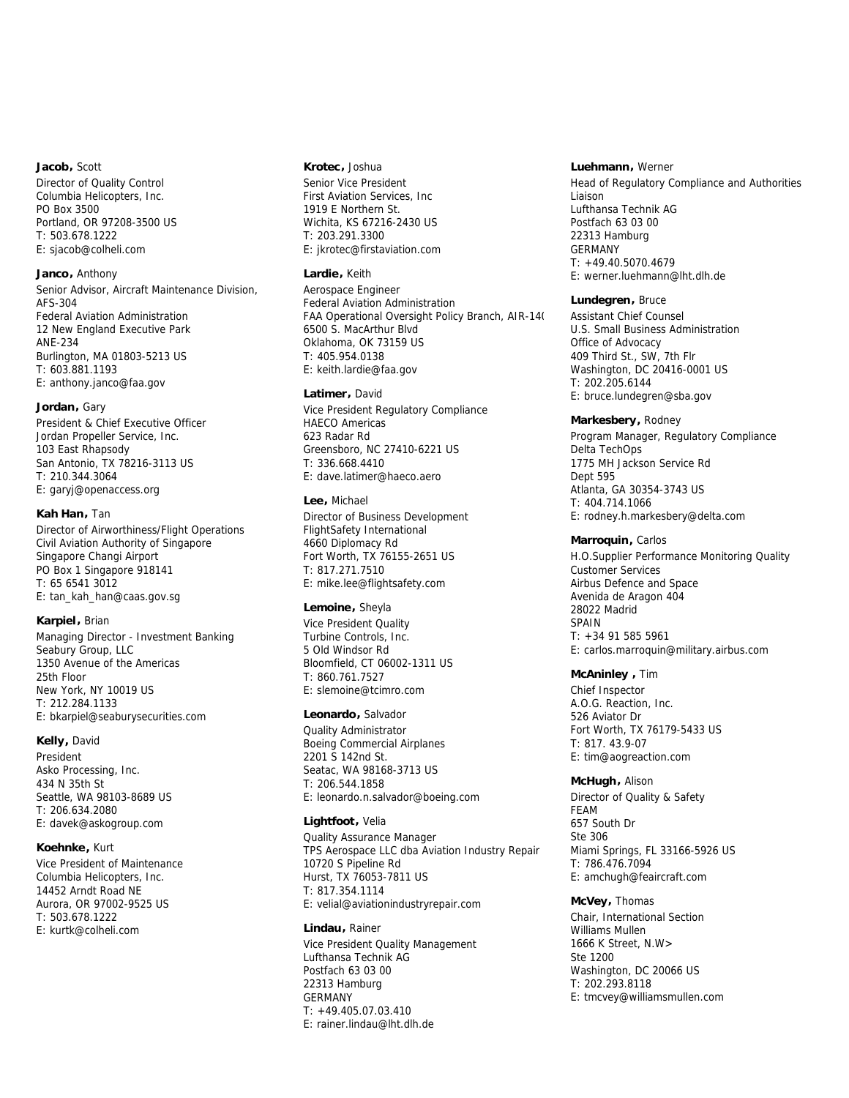# **Jacob,** Scott

Director of Quality Control Columbia Helicopters, Inc. PO Box 3500 Portland, OR 97208-3500 US T: 503.678.1222 E: sjacob@colheli.com

# **Janco,** Anthony

Senior Advisor, Aircraft Maintenance Division, AFS-304 Federal Aviation Administration 12 New England Executive Park ANE-234 Burlington, MA 01803-5213 US T: 603.881.1193 E: anthony.janco@faa.gov

# **Jordan,** Gary

President & Chief Executive Officer Jordan Propeller Service, Inc. 103 East Rhapsody San Antonio, TX 78216-3113 US T: 210.344.3064 E: garyj@openaccess.org

## **Kah Han,** Tan

Director of Airworthiness/Flight Operations Civil Aviation Authority of Singapore Singapore Changi Airport PO Box 1 Singapore 918141 T: 65 6541 3012 E: tan\_kah\_han@caas.gov.sg

## **Karpiel,** Brian

Managing Director - Investment Banking Seabury Group, LLC 1350 Avenue of the Americas 25th Floor New York, NY 10019 US T: 212.284.1133 E: bkarpiel@seaburysecurities.com

# **Kelly,** David

President Asko Processing, Inc. 434 N 35th St Seattle, WA 98103-8689 US T: 206.634.2080 E: davek@askogroup.com

## **Koehnke,** Kurt

Vice President of Maintenance Columbia Helicopters, Inc. 14452 Arndt Road NE Aurora, OR 97002-9525 US T: 503.678.1222 E: kurtk@colheli.com

#### **Krotec,** Joshua

Senior Vice President First Aviation Services, Inc 1919 E Northern St. Wichita, KS 67216-2430 US T: 203.291.3300 E: jkrotec@firstaviation.com

# **Lardie,** Keith

Aerospace Engineer Federal Aviation Administration FAA Operational Oversight Policy Branch, AIR-140 6500 S. MacArthur Blvd Oklahoma, OK 73159 US T: 405.954.0138 E: keith.lardie@faa.gov

# **Latimer,** David

Vice President Regulatory Compliance HAECO Americas 623 Radar Rd Greensboro, NC 27410-6221 US T: 336.668.4410 E: dave.latimer@haeco.aero

# **Lee,** Michael

Director of Business Development FlightSafety International 4660 Diplomacy Rd Fort Worth, TX 76155-2651 US T: 817.271.7510 E: mike.lee@flightsafety.com

## **Lemoine,** Sheyla

Vice President Quality Turbine Controls, Inc. 5 Old Windsor Rd Bloomfield, CT 06002-1311 US T: 860.761.7527 E: slemoine@tcimro.com

#### **Leonardo,** Salvador

Quality Administrator Boeing Commercial Airplanes 2201 S 142nd St. Seatac, WA 98168-3713 US T: 206.544.1858 E: leonardo.n.salvador@boeing.com

## **Lightfoot,** Velia

Quality Assurance Manager TPS Aerospace LLC dba Aviation Industry Repair 10720 S Pipeline Rd Hurst, TX 76053-7811 US T: 817.354.1114 E: velial@aviationindustryrepair.com

**Lindau,** Rainer Vice President Quality Management Lufthansa Technik AG Postfach 63 03 00 22313 Hamburg GERMANY T: +49.405.07.03.410 E: rainer.lindau@lht.dlh.de

#### **Luehmann,** Werner

Head of Regulatory Compliance and Authorities Liaison Lufthansa Technik AG Postfach 63 03 00 22313 Hamburg GERMANY T: +49.40.5070.4679 E: werner.luehmann@lht.dlh.de

#### **Lundegren,** Bruce

Assistant Chief Counsel U.S. Small Business Administration Office of Advocacy 409 Third St., SW, 7th Flr Washington, DC 20416-0001 US T: 202.205.6144 E: bruce.lundegren@sba.gov

#### **Markesbery,** Rodney

Program Manager, Regulatory Compliance Delta TechOps 1775 MH Jackson Service Rd Dept 595 Atlanta, GA 30354-3743 US T: 404.714.1066 E: rodney.h.markesbery@delta.com

#### **Marroquin,** Carlos

H.O.Supplier Performance Monitoring Quality Customer Services Airbus Defence and Space Avenida de Aragon 404 28022 Madrid SPAIN T: +34 91 585 5961 E: carlos.marroquin@military.airbus.com

#### **McAninley ,** Tim

Chief Inspector A.O.G. Reaction, Inc. 526 Aviator Dr Fort Worth, TX 76179-5433 US T: 817. 43.9-07 E: tim@aogreaction.com

**McHugh,** Alison Director of Quality & Safety FEAM 657 South Dr Ste 306 Miami Springs, FL 33166-5926 US T: 786.476.7094 E: amchugh@feaircraft.com

## **McVey,** Thomas

Chair, International Section Williams Mullen 1666 K Street, N.W> Ste 1200 Washington, DC 20066 US T: 202.293.8118 E: tmcvey@williamsmullen.com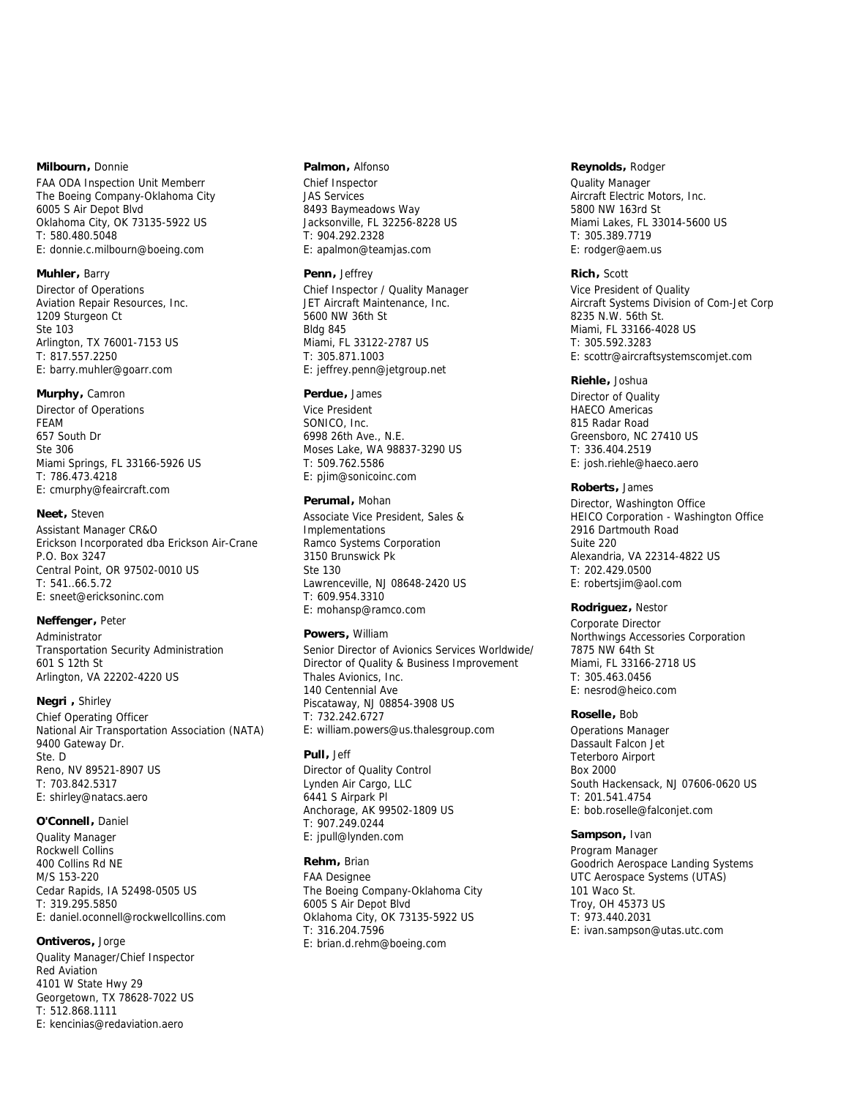# **Milbourn,** Donnie

FAA ODA Inspection Unit Memberr The Boeing Company-Oklahoma City 6005 S Air Depot Blvd Oklahoma City, OK 73135-5922 US T: 580.480.5048 E: donnie.c.milbourn@boeing.com

# **Muhler,** Barry

Director of Operations Aviation Repair Resources, Inc. 1209 Sturgeon Ct Ste 103 Arlington, TX 76001-7153 US T: 817.557.2250 E: barry.muhler@goarr.com

## **Murphy,** Camron

Director of Operations FEAM 657 South Dr Ste 306 Miami Springs, FL 33166-5926 US T: 786.473.4218 E: cmurphy@feaircraft.com

### **Neet,** Steven

Assistant Manager CR&O Erickson Incorporated dba Erickson Air-Crane P.O. Box 3247 Central Point, OR 97502-0010 US T: 541..66.5.72 E: sneet@ericksoninc.com

# **Neffenger,** Peter

Administrator Transportation Security Administration 601 S 12th St Arlington, VA 22202-4220 US

# **Negri ,** Shirley

Chief Operating Officer National Air Transportation Association (NATA) 9400 Gateway Dr. Ste. D Reno, NV 89521-8907 US T: 703.842.5317 E: shirley@natacs.aero

### **O'Connell,** Daniel

Quality Manager Rockwell Collins 400 Collins Rd NE M/S 153-220 Cedar Rapids, IA 52498-0505 US T: 319.295.5850 E: daniel.oconnell@rockwellcollins.com

# **Ontiveros,** Jorge

Quality Manager/Chief Inspector Red Aviation 4101 W State Hwy 29 Georgetown, TX 78628-7022 US T: 512.868.1111 E: kencinias@redaviation.aero

## **Palmon,** Alfonso

Chief Inspector JAS Services 8493 Baymeadows Way Jacksonville, FL 32256-8228 US T: 904.292.2328 E: apalmon@teamjas.com

# **Penn,** Jeffrey

Chief Inspector / Quality Manager JET Aircraft Maintenance, Inc. 5600 NW 36th St Bldg 845 Miami, FL 33122-2787 US T: 305.871.1003 E: jeffrey.penn@jetgroup.net

#### **Perdue,** James

Vice President SONICO, Inc. 6998 26th Ave., N.E. Moses Lake, WA 98837-3290 US T: 509.762.5586 E: pjim@sonicoinc.com

# **Perumal,** Mohan

Associate Vice President, Sales & Implementations Ramco Systems Corporation 3150 Brunswick Pk Ste 130 Lawrenceville, NJ 08648-2420 US T: 609.954.3310 E: mohansp@ramco.com

# **Powers,** William

Senior Director of Avionics Services Worldwide/ Director of Quality & Business Improvement Thales Avionics, Inc. 140 Centennial Ave Piscataway, NJ 08854-3908 US T: 732.242.6727 E: william.powers@us.thalesgroup.com

# **Pull,** Jeff

Director of Quality Control Lynden Air Cargo, LLC 6441 S Airpark Pl Anchorage, AK 99502-1809 US T: 907.249.0244 E: jpull@lynden.com

# **Rehm,** Brian

FAA Designee The Boeing Company-Oklahoma City 6005 S Air Depot Blvd Oklahoma City, OK 73135-5922 US T: 316.204.7596 E: brian.d.rehm@boeing.com

#### **Reynolds,** Rodger

Quality Manager Aircraft Electric Motors, Inc. 5800 NW 163rd St Miami Lakes, FL 33014-5600 US T: 305.389.7719 E: rodger@aem.us

## **Rich,** Scott

Vice President of Quality Aircraft Systems Division of Com-Jet Corp 8235 N.W. 56th St. Miami, FL 33166-4028 US T: 305.592.3283 E: scottr@aircraftsystemscomjet.com

#### **Riehle,** Joshua

Director of Quality HAECO Americas 815 Radar Road Greensboro, NC 27410 US T: 336.404.2519 E: josh.riehle@haeco.aero

# **Roberts,** James

Director, Washington Office HEICO Corporation - Washington Office 2916 Dartmouth Road Suite 220 Alexandria, VA 22314-4822 US T: 202.429.0500 E: robertsjim@aol.com

# **Rodriguez,** Nestor

Corporate Director Northwings Accessories Corporation 7875 NW 64th St Miami, FL 33166-2718 US T: 305.463.0456 E: nesrod@heico.com

## **Roselle,** Bob

Operations Manager Dassault Falcon Jet Teterboro Airport Box 2000 South Hackensack, NJ 07606-0620 US T: 201.541.4754 E: bob.roselle@falconjet.com

### **Sampson,** Ivan

Program Manager Goodrich Aerospace Landing Systems UTC Aerospace Systems (UTAS) 101 Waco St. Troy, OH 45373 US T: 973.440.2031 E: ivan.sampson@utas.utc.com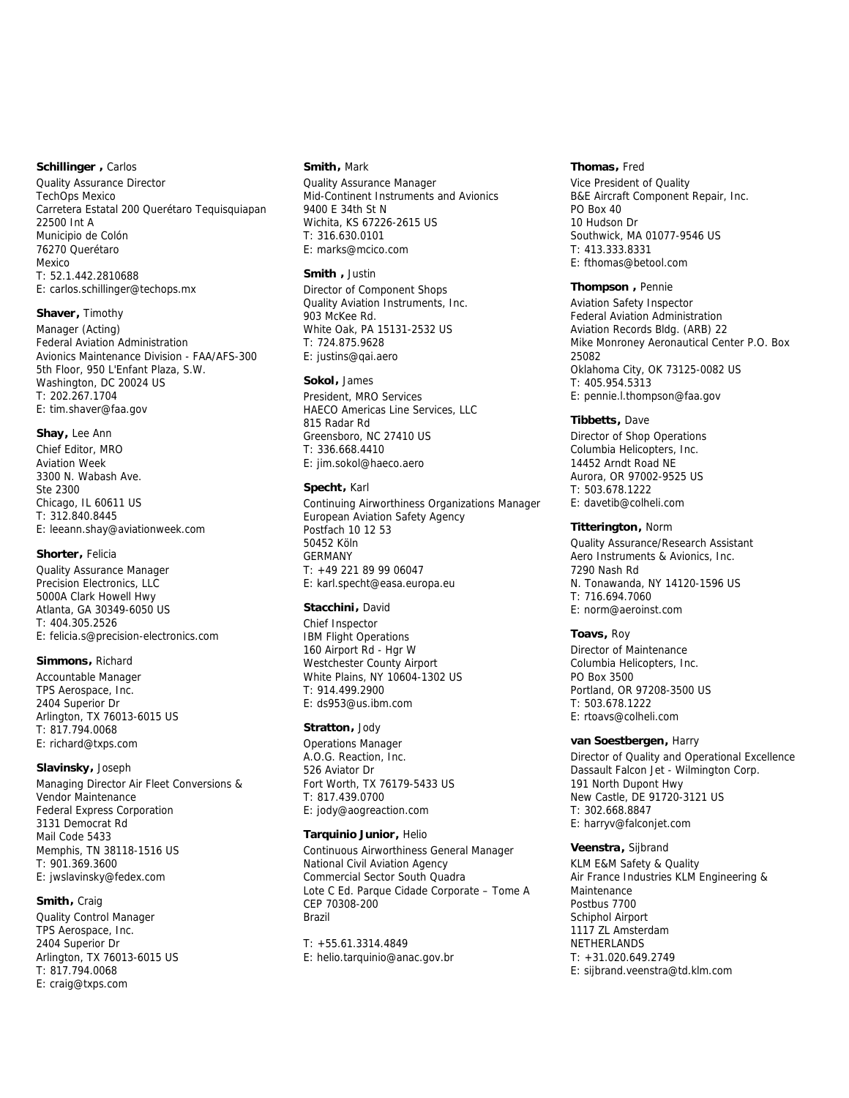# **Schillinger ,** Carlos

Quality Assurance Director TechOps Mexico Carretera Estatal 200 Querétaro Tequisquiapan 22500 Int A Municipio de Colón 76270 Querétaro Mexico T: 52.1.442.2810688 E: carlos.schillinger@techops.mx

#### **Shaver,** Timothy

Manager (Acting) Federal Aviation Administration Avionics Maintenance Division - FAA/AFS-300 5th Floor, 950 L'Enfant Plaza, S.W. Washington, DC 20024 US T: 202.267.1704 E: tim.shaver@faa.gov

# **Shay,** Lee Ann

Chief Editor, MRO Aviation Week 3300 N. Wabash Ave. Ste 2300 Chicago, IL 60611 US T: 312.840.8445 E: leeann.shay@aviationweek.com

# **Shorter,** Felicia

Quality Assurance Manager Precision Electronics, LLC 5000A Clark Howell Hwy Atlanta, GA 30349-6050 US T: 404.305.2526 E: felicia.s@precision-electronics.com

# **Simmons,** Richard

Accountable Manager TPS Aerospace, Inc. 2404 Superior Dr Arlington, TX 76013-6015 US T: 817.794.0068 E: richard@txps.com

# **Slavinsky,** Joseph

Managing Director Air Fleet Conversions & Vendor Maintenance Federal Express Corporation 3131 Democrat Rd Mail Code 5433 Memphis, TN 38118-1516 US T: 901.369.3600 E: jwslavinsky@fedex.com

# **Smith,** Craig

Quality Control Manager TPS Aerospace, Inc. 2404 Superior Dr Arlington, TX 76013-6015 US T: 817.794.0068 E: craig@txps.com

# **Smith,** Mark

Quality Assurance Manager Mid-Continent Instruments and Avionics 9400 E 34th St N Wichita, KS 67226-2615 US T: 316.630.0101 E: marks@mcico.com

# **Smith ,** Justin

Director of Component Shops Quality Aviation Instruments, Inc. 903 McKee Rd. White Oak, PA 15131-2532 US T: 724.875.9628 E: justins@qai.aero

# **Sokol,** James

President, MRO Services HAECO Americas Line Services, LLC 815 Radar Rd Greensboro, NC 27410 US T: 336.668.4410 E: jim.sokol@haeco.aero

# **Specht,** Karl

Continuing Airworthiness Organizations Manager European Aviation Safety Agency Postfach 10 12 53 50452 Köln GERMANY T: +49 221 89 99 06047 E: karl.specht@easa.europa.eu

## **Stacchini,** David

Chief Inspector IBM Flight Operations 160 Airport Rd - Hgr W Westchester County Airport White Plains, NY 10604-1302 US T: 914.499.2900 E: ds953@us.ibm.com

## **Stratton,** Jody

Operations Manager A.O.G. Reaction, Inc. 526 Aviator Dr Fort Worth, TX 76179-5433 US T: 817.439.0700 E: jody@aogreaction.com

#### **Tarquinio Junior,** Helio

Continuous Airworthiness General Manager National Civil Aviation Agency Commercial Sector South Quadra Lote C Ed. Parque Cidade Corporate – Tome A CEP 70308-200 Brazil

T: +55.61.3314.4849 E: helio.tarquinio@anac.gov.br

# **Thomas,** Fred

Vice President of Quality B&E Aircraft Component Repair, Inc. PO Box 40 10 Hudson Dr Southwick, MA 01077-9546 US T: 413.333.8331 E: fthomas@betool.com

#### **Thompson ,** Pennie

Aviation Safety Inspector Federal Aviation Administration Aviation Records Bldg. (ARB) 22 Mike Monroney Aeronautical Center P.O. Box 25082 Oklahoma City, OK 73125-0082 US T: 405.954.5313 E: pennie.l.thompson@faa.gov

#### **Tibbetts,** Dave

Director of Shop Operations Columbia Helicopters, Inc. 14452 Arndt Road NE Aurora, OR 97002-9525 US T: 503.678.1222 E: davetib@colheli.com

## **Titterington,** Norm

Quality Assurance/Research Assistant Aero Instruments & Avionics, Inc. 7290 Nash Rd N. Tonawanda, NY 14120-1596 US T: 716.694.7060 E: norm@aeroinst.com

## **Toavs,** Roy

Director of Maintenance Columbia Helicopters, Inc. PO Box 3500 Portland, OR 97208-3500 US T: 503.678.1222 E: rtoavs@colheli.com

#### **van Soestbergen,** Harry

Director of Quality and Operational Excellence Dassault Falcon Jet - Wilmington Corp. 191 North Dupont Hwy New Castle, DE 91720-3121 US T: 302.668.8847 E: harryv@falconjet.com

## **Veenstra,** Sijbrand

KLM E&M Safety & Quality Air France Industries KLM Engineering & Maintenance Postbus 7700 Schiphol Airport 1117 ZL Amsterdam NETHERLANDS T: +31.020.649.2749 E: sijbrand.veenstra@td.klm.com